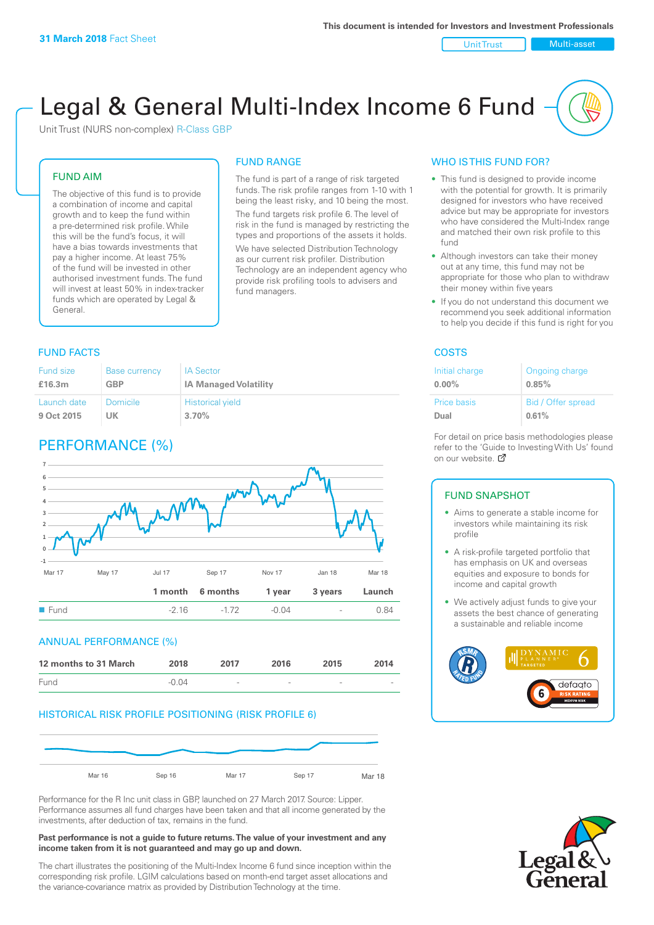Unit Trust Nulti-asset

# Legal & General Multi-Index Income 6 Fund

Unit Trust (NURS non-complex) R-Class GBP

#### FUND AIM

The objective of this fund is to provide a combination of income and capital growth and to keep the fund within a pre-determined risk profile. While this will be the fund's focus, it will have a bias towards investments that pay a higher income. At least 75% of the fund will be invested in other authorised investment funds. The fund will invest at least 50% in index-tracker funds which are operated by Legal & General.

## FUND RANGE

The fund is part of a range of risk targeted funds. The risk profile ranges from 1-10 with 1 being the least risky, and 10 being the most. The fund targets risk profile 6. The level of risk in the fund is managed by restricting the

types and proportions of the assets it holds. We have selected Distribution Technology as our current risk profiler. Distribution Technology are an independent agency who provide risk profiling tools to advisers and fund managers.

#### **FUND FACTS** COSTS

| Fund size   | <b>Base currency</b> | <b>IA Sector</b>             |
|-------------|----------------------|------------------------------|
| £16.3m      | <b>GBP</b>           | <b>IA Managed Volatility</b> |
| Launch date | Domicile             | <b>Historical yield</b>      |
| 9 Oct 2015  | UK                   | 3.70%                        |

### PERFORMANCE (%)



#### ANNUAL PERFORMANCE (%)



#### HISTORICAL RISK PROFILE POSITIONING (RISK PROFILE 6)



Performance for the R Inc unit class in GBP, launched on 27 March 2017. Source: Lipper. Performance assumes all fund charges have been taken and that all income generated by the investments, after deduction of tax, remains in the fund.

#### **Past performance is not a guide to future returns. The value of your investment and any income taken from it is not guaranteed and may go up and down.**

The chart illustrates the positioning of the Multi-Index Income 6 fund since inception within the corresponding risk profile. LGIM calculations based on month-end target asset allocations and the variance-covariance matrix as provided by Distribution Technology at the time.

#### WHO IS THIS FUND FOR?

- This fund is designed to provide income with the potential for growth. It is primarily designed for investors who have received advice but may be appropriate for investors who have considered the Multi-Index range and matched their own risk profile to this fund
- Although investors can take their money out at any time, this fund may not be appropriate for those who plan to withdraw their money within five years
- If you do not understand this document we recommend you seek additional information to help you decide if this fund is right for you

| Initial charge | Ongoing charge     |
|----------------|--------------------|
| $0.00\%$       | 0.85%              |
| Price basis    | Bid / Offer spread |
| Dual           | 0.61%              |

For detail on price basis methodologies please refer to the 'Gu[ide t](http://www.legalandgeneral.com/guide)o Investing With Us' found on our website. Ø

#### FUND SNAPSHOT

- Aims to generate a stable income for investors while maintaining its risk profile
- A risk-profile targeted portfolio that has emphasis on UK and overseas equities and exposure to bonds for income and capital growth
- We actively adjust funds to give your assets the best chance of generating a sustainable and reliable income



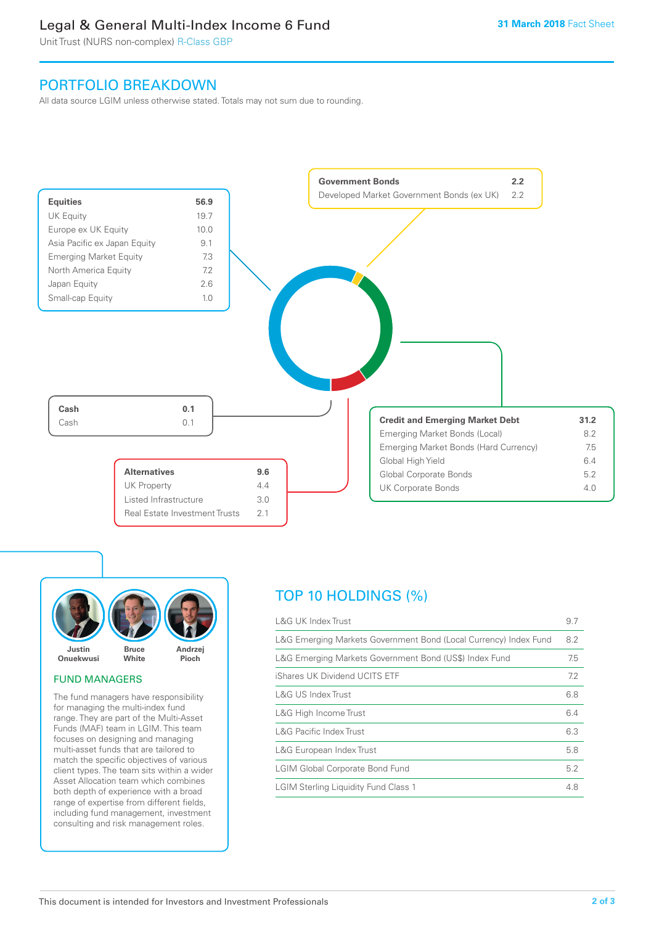### Legal & General Multi-Index Income 6 Fund

Unit Trust (NURS non-complex) R-Class GBP

### PORTFOLIO BREAKDOWN

All data source LGIM unless otherwise stated. Totals may not sum due to rounding.





#### FUND MANAGERS

The fund managers have responsibility for managing the multi-index fund range. They are part of the Multi-Asset Funds (MAF) team in LGIM. This team focuses on designing and managing multi-asset funds that are tailored to match the specific objectives of various client types. The team sits within a wider Asset Allocation team which combines both depth of experience with a broad range of expertise from different fields, including fund management, investment consulting and risk management roles.

### TOP 10 HOLDINGS (%)

| <b>L&amp;G UK Index Trust</b>                                    | 9.7 |
|------------------------------------------------------------------|-----|
| L&G Emerging Markets Government Bond (Local Currency) Index Fund | 8.2 |
| L&G Emerging Markets Government Bond (US\$) Index Fund           | 7.5 |
| iShares UK Dividend UCITS ETF                                    | 7.2 |
| L&G US Index Trust                                               | 6.8 |
| L&G High Income Trust                                            | 6.4 |
| <b>L&amp;G Pacific Index Trust</b>                               | 6.3 |
| L&G European Index Trust                                         | 5.8 |
| <b>LGIM Global Corporate Bond Fund</b>                           | 5.2 |
| <b>LGIM Sterling Liquidity Fund Class 1</b>                      | 4.8 |